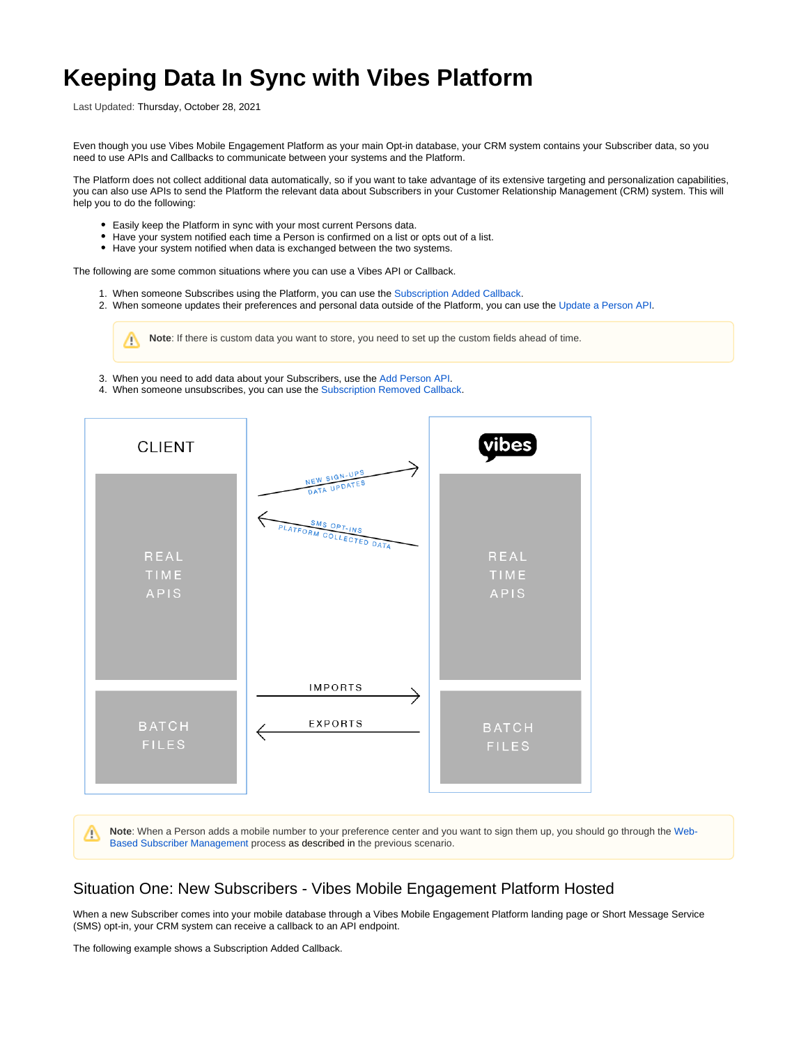# **Keeping Data In Sync with Vibes Platform**

Last Updated: Thursday, October 28, 2021

Even though you use Vibes Mobile Engagement Platform as your main Opt-in database, your CRM system contains your Subscriber data, so you need to use APIs and Callbacks to communicate between your systems and the Platform.

The Platform does not collect additional data automatically, so if you want to take advantage of its extensive targeting and personalization capabilities, you can also use APIs to send the Platform the relevant data about Subscribers in your Customer Relationship Management (CRM) system. This will help you to do the following:

- Easily keep the Platform in sync with your most current Persons data.
- Have your system notified each time a Person is confirmed on a list or opts out of a list.
- Have your system notified when data is exchanged between the two systems.

The following are some common situations where you can use a Vibes API or Callback.

- 1. When someone Subscribes using the Platform, you can use the [Subscription Added Callback.](#page-0-0)
- 2. When someone updates their preferences and personal data outside of the Platform, you can use the [Update a Person API](#page-1-0).

**Note**: If there is custom data you want to store, you need to set up the custom fields ahead of time. Λ

- 3. When you need to add data about your Subscribers, use the [Add Person API](#page-2-0).
- 4. When someone unsubscribes, you can use the [Subscription Removed Callback.](#page-2-1)



**Note**: When a Person adds a mobile number to your preference center and you want to sign them up, you should go through the [Web-](https://developer.vibes.com/display/APIs/Web-Based+Subscriber+Management)Δ [Based Subscriber Management](https://developer.vibes.com/display/APIs/Web-Based+Subscriber+Management) process as described in the previous scenario.

## <span id="page-0-0"></span>Situation One: New Subscribers - Vibes Mobile Engagement Platform Hosted

When a new Subscriber comes into your mobile database through a Vibes Mobile Engagement Platform landing page or Short Message Service (SMS) opt-in, your CRM system can receive a callback to an API endpoint.

The following example shows a Subscription Added Callback.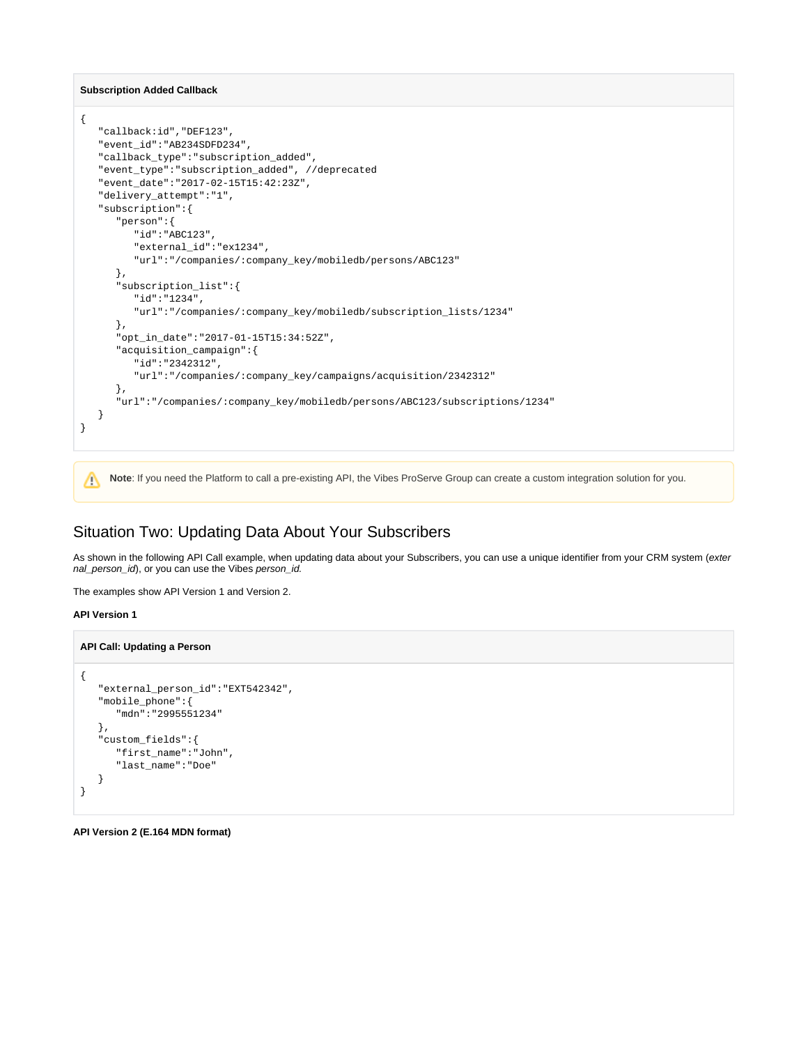**Subscription Added Callback**

```
{
   "callback:id","DEF123",
   "event_id":"AB234SDFD234", 
   "callback_type":"subscription_added",
   "event_type":"subscription_added", //deprecated 
   "event_date":"2017-02-15T15:42:23Z",
   "delivery_attempt":"1",
   "subscription":{
      "person":{
         "id":"ABC123",
         "external_id":"ex1234",
         "url":"/companies/:company_key/mobiledb/persons/ABC123"
       },
       "subscription_list":{
          "id":"1234",
          "url":"/companies/:company_key/mobiledb/subscription_lists/1234"
       },
       "opt_in_date":"2017-01-15T15:34:52Z",
       "acquisition_campaign":{
          "id":"2342312",
          "url":"/companies/:company_key/campaigns/acquisition/2342312"
       },
       "url":"/companies/:company_key/mobiledb/persons/ABC123/subscriptions/1234"
   }
}
```
**Note**: If you need the Platform to call a pre-existing API, the Vibes ProServe Group can create a custom integration solution for you.Δ

## <span id="page-1-0"></span>Situation Two: Updating Data About Your Subscribers

As shown in the following API Call example, when updating data about your Subscribers, you can use a unique identifier from your CRM system (exter nal\_person\_id), or you can use the Vibes person\_id.

The examples show API Version 1 and Version 2.

#### **API Version 1**

#### **API Call: Updating a Person**

```
{
    "external_person_id":"EXT542342",
    "mobile_phone":{
       "mdn":"2995551234"
   },
    "custom_fields":{
       "first_name":"John",
       "last_name":"Doe"
    }
}
```
**API Version 2 (E.164 MDN format)**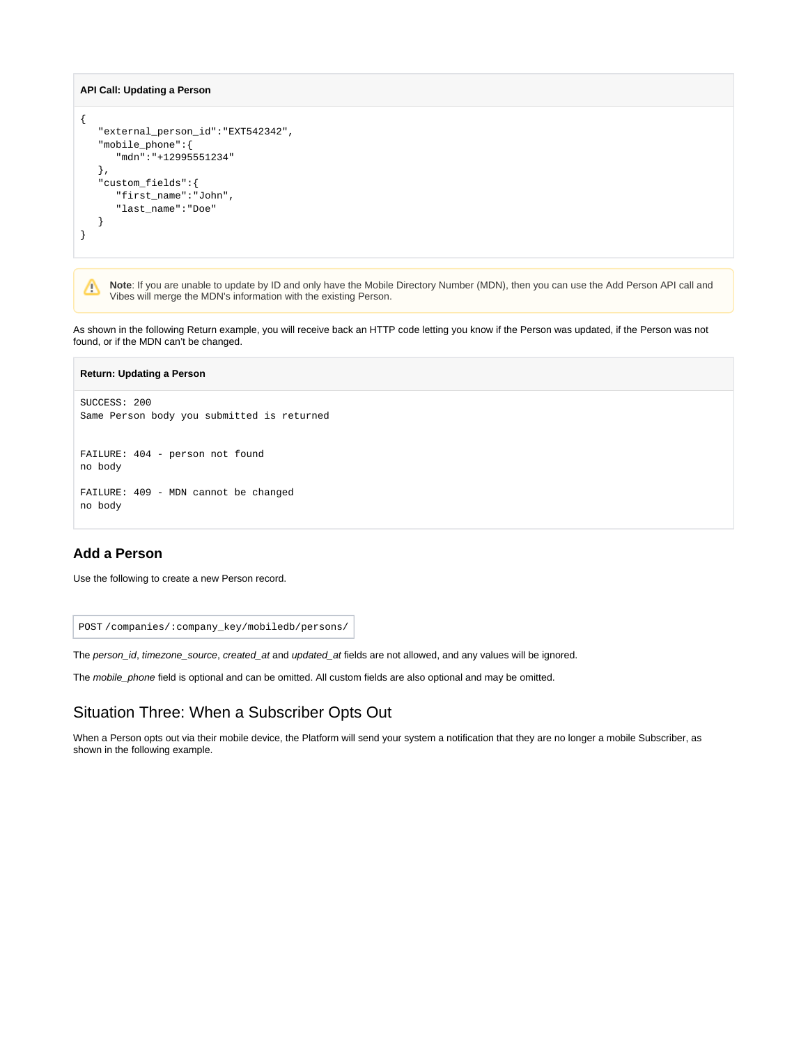#### **API Call: Updating a Person**

```
{
    "external_person_id":"EXT542342",
    "mobile_phone":{
       "mdn":"+12995551234"
   },
    "custom_fields":{
       "first_name":"John",
       "last_name":"Doe"
    }
}
```
**Note**: If you are unable to update by ID and only have the Mobile Directory Number (MDN), then you can use the Add Person API call and Δ Vibes will merge the MDN's information with the existing Person.

As shown in the following Return example, you will receive back an HTTP code letting you know if the Person was updated, if the Person was not found, or if the MDN can't be changed.

| <b>Return: Updating a Person</b>                           |
|------------------------------------------------------------|
| SUCCESS: 200<br>Same Person body you submitted is returned |
| FAILURE: 404 - person not found<br>no body                 |
| FAILURE: 409 - MDN cannot be changed<br>no body            |

### <span id="page-2-0"></span>**Add a Person**

Use the following to create a new Person record.

POST /companies/:company\_key/mobiledb/persons/

The person\_id, timezone\_source, created\_at and updated\_at fields are not allowed, and any values will be ignored.

The mobile\_phone field is optional and can be omitted. All custom fields are also optional and may be omitted.

## <span id="page-2-1"></span>Situation Three: When a Subscriber Opts Out

When a Person opts out via their mobile device, the Platform will send your system a notification that they are no longer a mobile Subscriber, as shown in the following example.